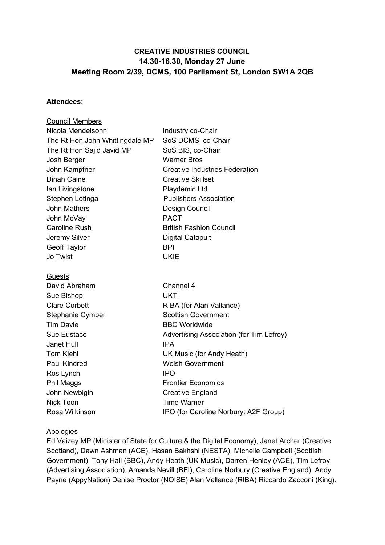# **CREATIVE INDUSTRIES COUNCIL 14.30-16.30, Monday 27 June Meeting Room 2/39, DCMS, 100 Parliament St, London SW1A 2QB**

#### **Attendees:**

| <b>Council Members</b>          |                                          |
|---------------------------------|------------------------------------------|
| Nicola Mendelsohn               | Industry co-Chair                        |
| The Rt Hon John Whittingdale MP | SoS DCMS, co-Chair                       |
| The Rt Hon Sajid Javid MP       | SoS BIS, co-Chair                        |
| Josh Berger                     | <b>Warner Bros</b>                       |
| John Kampfner                   | <b>Creative Industries Federation</b>    |
| <b>Dinah Caine</b>              | <b>Creative Skillset</b>                 |
| lan Livingstone                 | Playdemic Ltd                            |
| Stephen Lotinga                 | <b>Publishers Association</b>            |
| <b>John Mathers</b>             | Design Council                           |
| John McVay                      | <b>PACT</b>                              |
| <b>Caroline Rush</b>            | <b>British Fashion Council</b>           |
| Jeremy Silver                   | <b>Digital Catapult</b>                  |
| <b>Geoff Taylor</b>             | <b>BPI</b>                               |
| Jo Twist                        | <b>UKIE</b>                              |
| <u>Guests</u>                   |                                          |
| David Abraham                   | Channel 4                                |
| Sue Bishop                      | UKTI                                     |
| <b>Clare Corbett</b>            | RIBA (for Alan Vallance)                 |
| Stephanie Cymber                | <b>Scottish Government</b>               |
| <b>Tim Davie</b>                | <b>BBC Worldwide</b>                     |
| Sue Eustace                     | Advertising Association (for Tim Lefroy) |
| <b>Janet Hull</b>               | <b>IPA</b>                               |
| <b>Tom Kiehl</b>                | UK Music (for Andy Heath)                |
| <b>Paul Kindred</b>             | <b>Welsh Government</b>                  |
| Ros Lynch                       | <b>IPO</b>                               |
| Phil Maggs                      | <b>Frontier Economics</b>                |
| John Newbigin                   | <b>Creative England</b>                  |
| Nick Toon                       | <b>Time Warner</b>                       |
| Rosa Wilkinson                  | IPO (for Caroline Norbury: A2F Group)    |
|                                 |                                          |

# **Apologies**

Ed Vaizey MP (Minister of State for Culture & the Digital Economy), Janet Archer (Creative Scotland), Dawn Ashman (ACE), Hasan Bakhshi (NESTA), Michelle Campbell (Scottish Government), Tony Hall (BBC), Andy Heath (UK Music), Darren Henley (ACE), Tim Lefroy (Advertising Association), Amanda Nevill (BFI), Caroline Norbury (Creative England), Andy Payne (AppyNation) Denise Proctor (NOISE) Alan Vallance (RIBA) Riccardo Zacconi (King).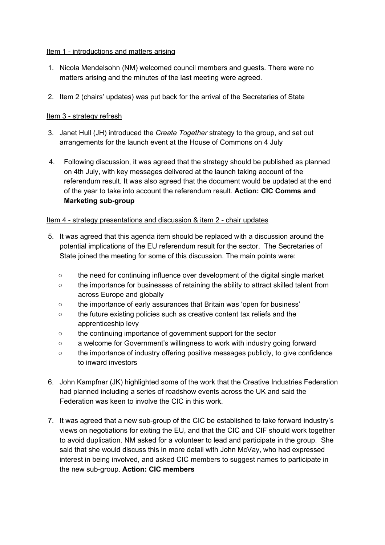### Item 1 - introductions and matters arising

- 1. Nicola Mendelsohn (NM) welcomed council members and guests. There were no matters arising and the minutes of the last meeting were agreed.
- 2. Item 2 (chairs' updates) was put back for the arrival of the Secretaries of State

# Item 3 - strategy refresh

- 3. Janet Hull (JH) introduced the *Create Together* strategy to the group, and set out arrangements for the launch event at the House of Commons on 4 July
- 4. Following discussion, it was agreed that the strategy should be published as planned on 4th July, with key messages delivered at the launch taking account of the referendum result. It was also agreed that the document would be updated at the end of the year to take into account the referendum result. **Action: CIC Comms and Marketing sub-group**

## Item 4 - strategy presentations and discussion & item 2 - chair updates

- 5. It was agreed that this agenda item should be replaced with a discussion around the potential implications of the EU referendum result for the sector. The Secretaries of State joined the meeting for some of this discussion. The main points were:
	- the need for continuing influence over development of the digital single market
	- the importance for businesses of retaining the ability to attract skilled talent from across Europe and globally
	- the importance of early assurances that Britain was 'open for business'
	- the future existing policies such as creative content tax reliefs and the apprenticeship levy
	- the continuing importance of government support for the sector
	- a welcome for Government's willingness to work with industry going forward
	- the importance of industry offering positive messages publicly, to give confidence to inward investors
- 6. John Kampfner (JK) highlighted some of the work that the Creative Industries Federation had planned including a series of roadshow events across the UK and said the Federation was keen to involve the CIC in this work.
- 7. It was agreed that a new sub-group of the CIC be established to take forward industry's views on negotiations for exiting the EU, and that the CIC and CIF should work together to avoid duplication. NM asked for a volunteer to lead and participate in the group. She said that she would discuss this in more detail with John McVay, who had expressed interest in being involved, and asked CIC members to suggest names to participate in the new sub-group. **Action: CIC members**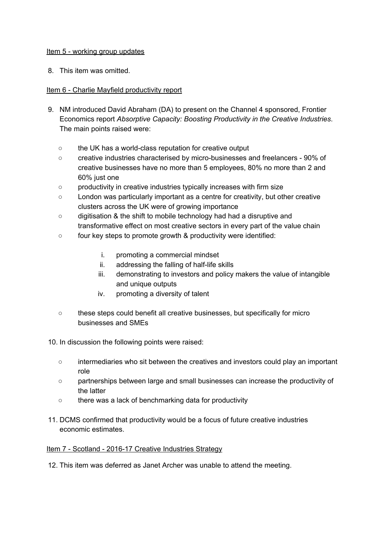### Item 5 - working group updates

8. This item was omitted.

# Item 6 - Charlie Mayfield productivity report

- 9. NM introduced David Abraham (DA) to present on the Channel 4 sponsored, Frontier Economics report *Absorptive Capacity: Boosting Productivity in the Creative Industries*. The main points raised were:
	- the UK has a world-class reputation for creative output
	- creative industries characterised by micro-businesses and freelancers 90% of creative businesses have no more than 5 employees, 80% no more than 2 and 60% just one
	- productivity in creative industries typically increases with firm size
	- London was particularly important as a centre for creativity, but other creative clusters across the UK were of growing importance
	- digitisation & the shift to mobile technology had had a disruptive and transformative effect on most creative sectors in every part of the value chain
	- four key steps to promote growth & productivity were identified:
		- i. promoting a commercial mindset
		- ii. addressing the falling of half-life skills
		- iii. demonstrating to investors and policy makers the value of intangible and unique outputs
		- iv. promoting a diversity of talent
	- these steps could benefit all creative businesses, but specifically for micro businesses and SMEs
- 10. In discussion the following points were raised:
	- intermediaries who sit between the creatives and investors could play an important role
	- partnerships between large and small businesses can increase the productivity of the latter
	- there was a lack of benchmarking data for productivity
- 11. DCMS confirmed that productivity would be a focus of future creative industries economic estimates.

### Item 7 - Scotland - 2016-17 Creative Industries Strategy

12. This item was deferred as Janet Archer was unable to attend the meeting.